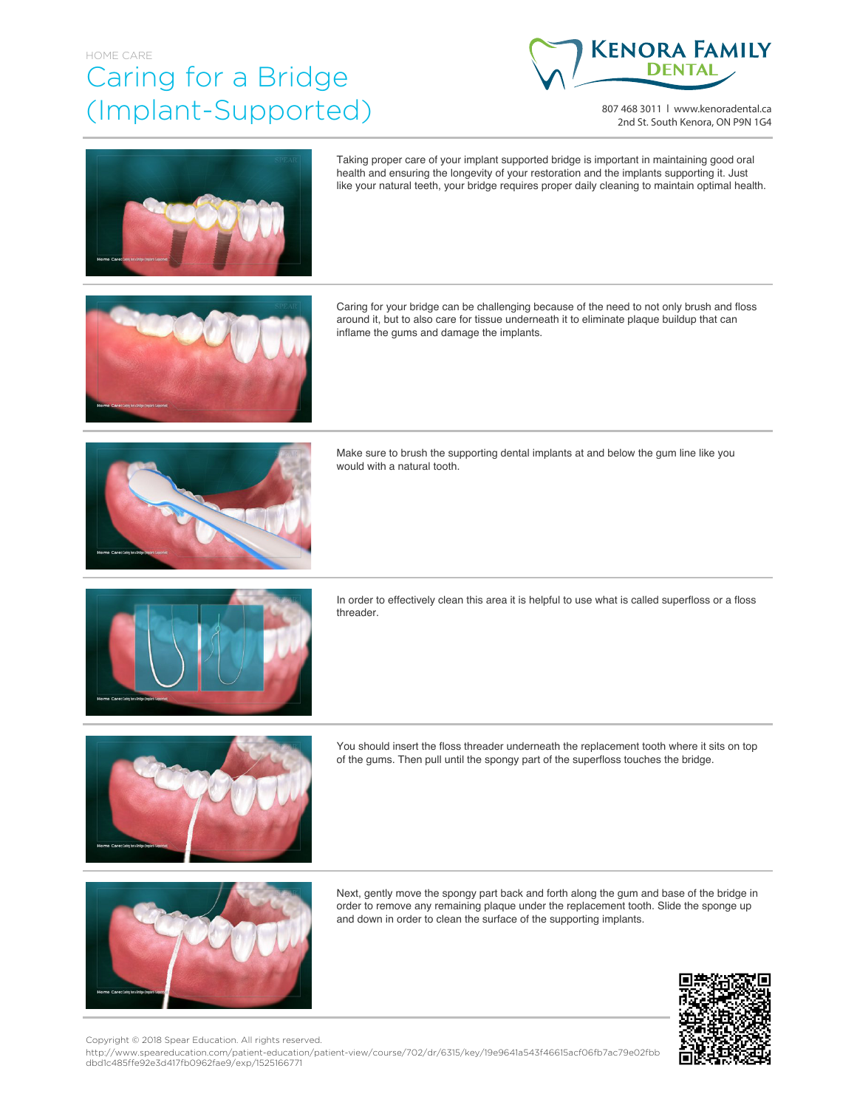## HOME CARE Caring for a Bridge (Implant-Supported)



807 468 3011 | www.kenoradental.ca 2nd St. South Kenora, ON P9N 1G4



Taking proper care of your implant supported bridge is important in maintaining good oral health and ensuring the longevity of your restoration and the implants supporting it. Just like your natural teeth, your bridge requires proper daily cleaning to maintain optimal health.



Caring for your bridge can be challenging because of the need to not only brush and floss around it, but to also care for tissue underneath it to eliminate plaque buildup that can inflame the gums and damage the implants.



Make sure to brush the supporting dental implants at and below the gum line like you would with a natural tooth.



In order to effectively clean this area it is helpful to use what is called superfloss or a floss threader.



You should insert the floss threader underneath the replacement tooth where it sits on top of the gums. Then pull until the spongy part of the superfloss touches the bridge.



Next, gently move the spongy part back and forth along the gum and base of the bridge in order to remove any remaining plaque under the replacement tooth. Slide the sponge up and down in order to clean the surface of the supporting implants.



Copyright © 2018 Spear Education. All rights reserved.

http://www.speareducation.com/patient-education/patient-view/course/702/dr/6315/key/19e9641a543f46615acf06fb7ac79e02fbb dbd1c485ffe92e3d417fb0962fae9/exp/1525166771